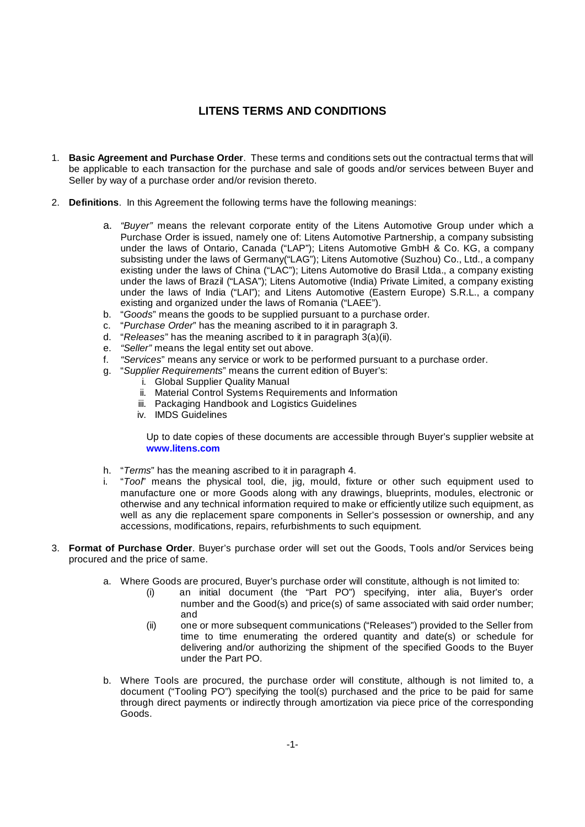# **LITENS TERMS AND CONDITIONS**

- 1. **Basic Agreement and Purchase Order**. These terms and conditions sets out the contractual terms that will be applicable to each transaction for the purchase and sale of goods and/or services between Buyer and Seller by way of a purchase order and/or revision thereto.
- 2. **Definitions**. In this Agreement the following terms have the following meanings:
	- a. *"Buyer"* means the relevant corporate entity of the Litens Automotive Group under which a Purchase Order is issued, namely one of: Litens Automotive Partnership, a company subsisting under the laws of Ontario, Canada ("LAP"); Litens Automotive GmbH & Co. KG, a company subsisting under the laws of Germany("LAG"); Litens Automotive (Suzhou) Co., Ltd., a company existing under the laws of China ("LAC"); Litens Automotive do Brasil Ltda., a company existing under the laws of Brazil ("LASA"); Litens Automotive (India) Private Limited, a company existing under the laws of India ("LAI"); and Litens Automotive (Eastern Europe) S.R.L., a company existing and organized under the laws of Romania ("LAEE").
	- b. "*Goods*" means the goods to be supplied pursuant to a purchase order.
	- c. "*Purchase Order*" has the meaning ascribed to it in paragraph 3.<br>d. "Releases" has the meaning ascribed to it in paragraph 3(a)(ii)
	- d. "*Releases*" has the meaning ascribed to it in paragraph 3(a)(ii).
	- e. *"Seller"* means the legal entity set out above.
	- f. *"Services*" means any service or work to be performed pursuant to a purchase order.
	- g. "*Supplier Requirements*" means the current edition of Buyer's:
		- i. Global Supplier Quality Manual
		- ii. Material Control Systems Requirements and Information
		- iii. Packaging Handbook and Logistics Guidelines
		- iv. IMDS Guidelines

Up to date copies of these documents are accessible through Buyer's supplier website at **www.litens.com**

- h. "*Terms*" has the meaning ascribed to it in paragraph 4.
- i. "*Tool*" means the physical tool, die, jig, mould, fixture or other such equipment used to manufacture one or more Goods along with any drawings, blueprints, modules, electronic or otherwise and any technical information required to make or efficiently utilize such equipment, as well as any die replacement spare components in Seller's possession or ownership, and any accessions, modifications, repairs, refurbishments to such equipment.
- 3. **Format of Purchase Order**. Buyer's purchase order will set out the Goods, Tools and/or Services being procured and the price of same.
	- a. Where Goods are procured, Buyer's purchase order will constitute, although is not limited to:
		- (i) an initial document (the "Part PO") specifying, inter alia, Buyer's order number and the Good(s) and price(s) of same associated with said order number; and
		- (ii) one or more subsequent communications ("Releases") provided to the Seller from time to time enumerating the ordered quantity and date(s) or schedule for delivering and/or authorizing the shipment of the specified Goods to the Buyer under the Part PO.
	- b. Where Tools are procured, the purchase order will constitute, although is not limited to, a document ("Tooling PO") specifying the tool(s) purchased and the price to be paid for same through direct payments or indirectly through amortization via piece price of the corresponding Goods.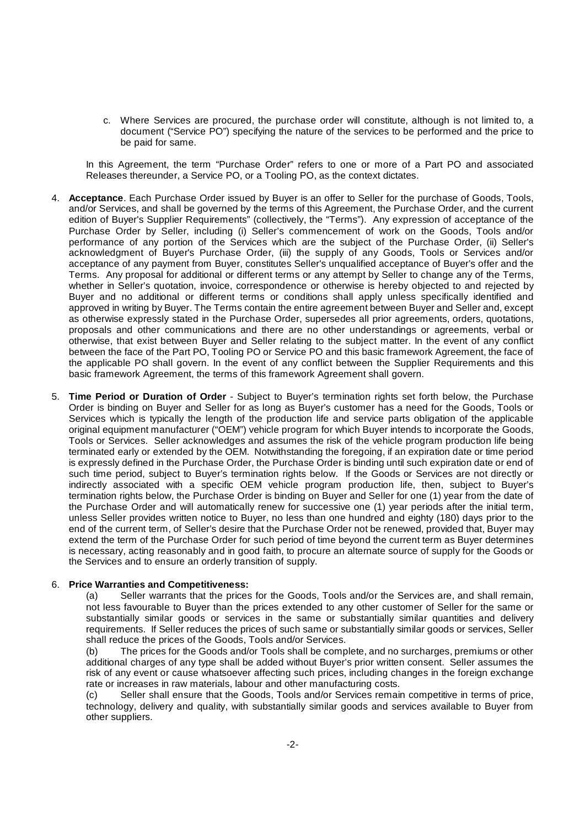c. Where Services are procured, the purchase order will constitute, although is not limited to, a document ("Service PO") specifying the nature of the services to be performed and the price to be paid for same.

In this Agreement, the term "Purchase Order" refers to one or more of a Part PO and associated Releases thereunder, a Service PO, or a Tooling PO, as the context dictates.

- 4. **Acceptance**. Each Purchase Order issued by Buyer is an offer to Seller for the purchase of Goods, Tools, and/or Services, and shall be governed by the terms of this Agreement, the Purchase Order, and the current edition of Buyer's Supplier Requirements" (collectively, the "Terms"). Any expression of acceptance of the Purchase Order by Seller, including (i) Seller's commencement of work on the Goods, Tools and/or performance of any portion of the Services which are the subject of the Purchase Order, (ii) Seller's acknowledgment of Buyer's Purchase Order, (iii) the supply of any Goods, Tools or Services and/or acceptance of any payment from Buyer, constitutes Seller's unqualified acceptance of Buyer's offer and the Terms. Any proposal for additional or different terms or any attempt by Seller to change any of the Terms, whether in Seller's quotation, invoice, correspondence or otherwise is hereby objected to and rejected by Buyer and no additional or different terms or conditions shall apply unless specifically identified and approved in writing by Buyer. The Terms contain the entire agreement between Buyer and Seller and, except as otherwise expressly stated in the Purchase Order, supersedes all prior agreements, orders, quotations, proposals and other communications and there are no other understandings or agreements, verbal or otherwise, that exist between Buyer and Seller relating to the subject matter. In the event of any conflict between the face of the Part PO, Tooling PO or Service PO and this basic framework Agreement, the face of the applicable PO shall govern. In the event of any conflict between the Supplier Requirements and this basic framework Agreement, the terms of this framework Agreement shall govern.
- 5. **Time Period or Duration of Order** Subject to Buyer's termination rights set forth below, the Purchase Order is binding on Buyer and Seller for as long as Buyer's customer has a need for the Goods, Tools or Services which is typically the length of the production life and service parts obligation of the applicable original equipment manufacturer ("OEM") vehicle program for which Buyer intends to incorporate the Goods, Tools or Services. Seller acknowledges and assumes the risk of the vehicle program production life being terminated early or extended by the OEM. Notwithstanding the foregoing, if an expiration date or time period is expressly defined in the Purchase Order, the Purchase Order is binding until such expiration date or end of such time period, subject to Buyer's termination rights below. If the Goods or Services are not directly or indirectly associated with a specific OEM vehicle program production life, then, subject to Buyer's termination rights below, the Purchase Order is binding on Buyer and Seller for one (1) year from the date of the Purchase Order and will automatically renew for successive one (1) year periods after the initial term, unless Seller provides written notice to Buyer, no less than one hundred and eighty (180) days prior to the end of the current term, of Seller's desire that the Purchase Order not be renewed, provided that, Buyer may extend the term of the Purchase Order for such period of time beyond the current term as Buyer determines is necessary, acting reasonably and in good faith, to procure an alternate source of supply for the Goods or the Services and to ensure an orderly transition of supply.

## 6. **Price Warranties and Competitiveness:**

(a) Seller warrants that the prices for the Goods, Tools and/or the Services are, and shall remain, not less favourable to Buyer than the prices extended to any other customer of Seller for the same or substantially similar goods or services in the same or substantially similar quantities and delivery requirements. If Seller reduces the prices of such same or substantially similar goods or services, Seller shall reduce the prices of the Goods, Tools and/or Services.

(b) The prices for the Goods and/or Tools shall be complete, and no surcharges, premiums or other additional charges of any type shall be added without Buyer's prior written consent. Seller assumes the risk of any event or cause whatsoever affecting such prices, including changes in the foreign exchange rate or increases in raw materials, labour and other manufacturing costs.

(c) Seller shall ensure that the Goods, Tools and/or Services remain competitive in terms of price, technology, delivery and quality, with substantially similar goods and services available to Buyer from other suppliers.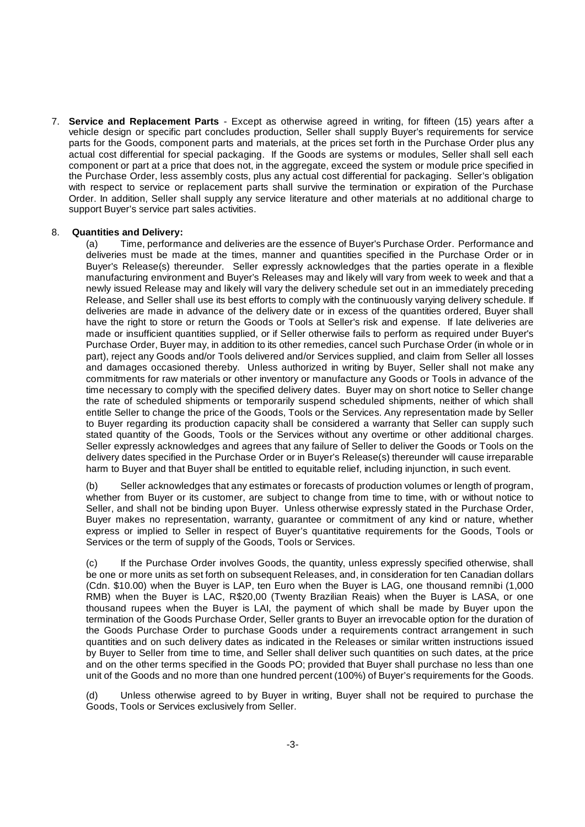7. **Service and Replacement Parts** - Except as otherwise agreed in writing, for fifteen (15) years after a vehicle design or specific part concludes production, Seller shall supply Buyer's requirements for service parts for the Goods, component parts and materials, at the prices set forth in the Purchase Order plus any actual cost differential for special packaging. If the Goods are systems or modules, Seller shall sell each component or part at a price that does not, in the aggregate, exceed the system or module price specified in the Purchase Order, less assembly costs, plus any actual cost differential for packaging. Seller's obligation with respect to service or replacement parts shall survive the termination or expiration of the Purchase Order. In addition, Seller shall supply any service literature and other materials at no additional charge to support Buyer's service part sales activities.

## 8. **Quantities and Delivery:**

(a) Time, performance and deliveries are the essence of Buyer's Purchase Order. Performance and deliveries must be made at the times, manner and quantities specified in the Purchase Order or in Buyer's Release(s) thereunder. Seller expressly acknowledges that the parties operate in a flexible manufacturing environment and Buyer's Releases may and likely will vary from week to week and that a newly issued Release may and likely will vary the delivery schedule set out in an immediately preceding Release, and Seller shall use its best efforts to comply with the continuously varying delivery schedule. If deliveries are made in advance of the delivery date or in excess of the quantities ordered, Buyer shall have the right to store or return the Goods or Tools at Seller's risk and expense. If late deliveries are made or insufficient quantities supplied, or if Seller otherwise fails to perform as required under Buyer's Purchase Order, Buyer may, in addition to its other remedies, cancel such Purchase Order (in whole or in part), reject any Goods and/or Tools delivered and/or Services supplied, and claim from Seller all losses and damages occasioned thereby. Unless authorized in writing by Buyer, Seller shall not make any commitments for raw materials or other inventory or manufacture any Goods or Tools in advance of the time necessary to comply with the specified delivery dates. Buyer may on short notice to Seller change the rate of scheduled shipments or temporarily suspend scheduled shipments, neither of which shall entitle Seller to change the price of the Goods, Tools or the Services. Any representation made by Seller to Buyer regarding its production capacity shall be considered a warranty that Seller can supply such stated quantity of the Goods, Tools or the Services without any overtime or other additional charges. Seller expressly acknowledges and agrees that any failure of Seller to deliver the Goods or Tools on the delivery dates specified in the Purchase Order or in Buyer's Release(s) thereunder will cause irreparable harm to Buyer and that Buyer shall be entitled to equitable relief, including injunction, in such event.

(b) Seller acknowledges that any estimates or forecasts of production volumes or length of program, whether from Buyer or its customer, are subject to change from time to time, with or without notice to Seller, and shall not be binding upon Buyer. Unless otherwise expressly stated in the Purchase Order, Buyer makes no representation, warranty, guarantee or commitment of any kind or nature, whether express or implied to Seller in respect of Buyer's quantitative requirements for the Goods, Tools or Services or the term of supply of the Goods, Tools or Services.

(c) If the Purchase Order involves Goods, the quantity, unless expressly specified otherwise, shall be one or more units as set forth on subsequent Releases, and, in consideration for ten Canadian dollars (Cdn. \$10.00) when the Buyer is LAP, ten Euro when the Buyer is LAG, one thousand remnibi (1,000 RMB) when the Buyer is LAC, R\$20,00 (Twenty Brazilian Reais) when the Buyer is LASA, or one thousand rupees when the Buyer is LAI, the payment of which shall be made by Buyer upon the termination of the Goods Purchase Order, Seller grants to Buyer an irrevocable option for the duration of the Goods Purchase Order to purchase Goods under a requirements contract arrangement in such quantities and on such delivery dates as indicated in the Releases or similar written instructions issued by Buyer to Seller from time to time, and Seller shall deliver such quantities on such dates, at the price and on the other terms specified in the Goods PO; provided that Buyer shall purchase no less than one unit of the Goods and no more than one hundred percent (100%) of Buyer's requirements for the Goods.

(d) Unless otherwise agreed to by Buyer in writing, Buyer shall not be required to purchase the Goods, Tools or Services exclusively from Seller.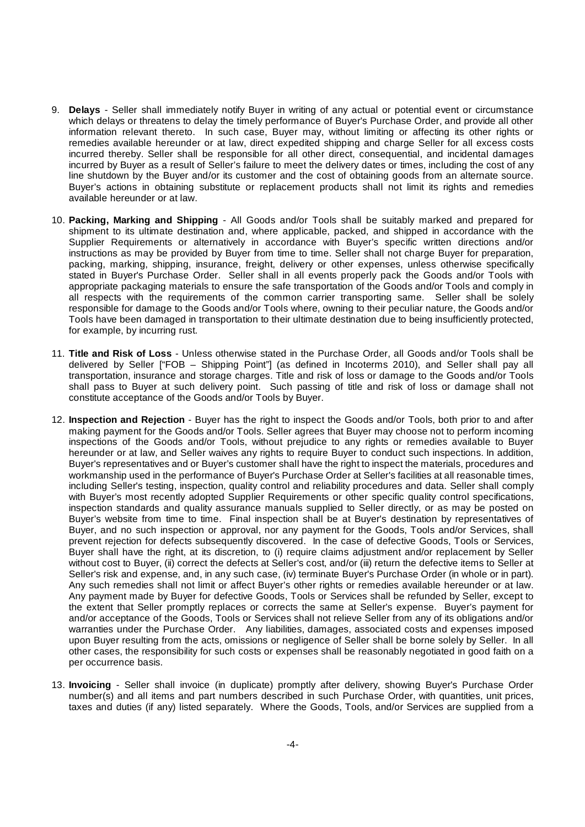- 9. **Delays** Seller shall immediately notify Buyer in writing of any actual or potential event or circumstance which delays or threatens to delay the timely performance of Buyer's Purchase Order, and provide all other information relevant thereto. In such case, Buyer may, without limiting or affecting its other rights or remedies available hereunder or at law, direct expedited shipping and charge Seller for all excess costs incurred thereby. Seller shall be responsible for all other direct, consequential, and incidental damages incurred by Buyer as a result of Seller's failure to meet the delivery dates or times, including the cost of any line shutdown by the Buyer and/or its customer and the cost of obtaining goods from an alternate source. Buyer's actions in obtaining substitute or replacement products shall not limit its rights and remedies available hereunder or at law.
- 10. **Packing, Marking and Shipping** All Goods and/or Tools shall be suitably marked and prepared for shipment to its ultimate destination and, where applicable, packed, and shipped in accordance with the Supplier Requirements or alternatively in accordance with Buyer's specific written directions and/or instructions as may be provided by Buyer from time to time. Seller shall not charge Buyer for preparation, packing, marking, shipping, insurance, freight, delivery or other expenses, unless otherwise specifically stated in Buyer's Purchase Order. Seller shall in all events properly pack the Goods and/or Tools with appropriate packaging materials to ensure the safe transportation of the Goods and/or Tools and comply in all respects with the requirements of the common carrier transporting same. Seller shall be solely responsible for damage to the Goods and/or Tools where, owning to their peculiar nature, the Goods and/or Tools have been damaged in transportation to their ultimate destination due to being insufficiently protected, for example, by incurring rust.
- 11. **Title and Risk of Loss** Unless otherwise stated in the Purchase Order, all Goods and/or Tools shall be delivered by Seller ["FOB – Shipping Point"] (as defined in Incoterms 2010), and Seller shall pay all transportation, insurance and storage charges. Title and risk of loss or damage to the Goods and/or Tools shall pass to Buyer at such delivery point. Such passing of title and risk of loss or damage shall not constitute acceptance of the Goods and/or Tools by Buyer.
- 12. **Inspection and Rejection** Buyer has the right to inspect the Goods and/or Tools, both prior to and after making payment for the Goods and/or Tools. Seller agrees that Buyer may choose not to perform incoming inspections of the Goods and/or Tools, without prejudice to any rights or remedies available to Buyer hereunder or at law, and Seller waives any rights to require Buyer to conduct such inspections. In addition, Buyer's representatives and or Buyer's customer shall have the right to inspect the materials, procedures and workmanship used in the performance of Buyer's Purchase Order at Seller's facilities at all reasonable times, including Seller's testing, inspection, quality control and reliability procedures and data. Seller shall comply with Buyer's most recently adopted Supplier Requirements or other specific quality control specifications, inspection standards and quality assurance manuals supplied to Seller directly, or as may be posted on Buyer's website from time to time. Final inspection shall be at Buyer's destination by representatives of Buyer, and no such inspection or approval, nor any payment for the Goods, Tools and/or Services, shall prevent rejection for defects subsequently discovered. In the case of defective Goods, Tools or Services, Buyer shall have the right, at its discretion, to (i) require claims adjustment and/or replacement by Seller without cost to Buyer, (ii) correct the defects at Seller's cost, and/or (iii) return the defective items to Seller at Seller's risk and expense, and, in any such case, (iv) terminate Buyer's Purchase Order (in whole or in part). Any such remedies shall not limit or affect Buyer's other rights or remedies available hereunder or at law. Any payment made by Buyer for defective Goods, Tools or Services shall be refunded by Seller, except to the extent that Seller promptly replaces or corrects the same at Seller's expense. Buyer's payment for and/or acceptance of the Goods, Tools or Services shall not relieve Seller from any of its obligations and/or warranties under the Purchase Order. Any liabilities, damages, associated costs and expenses imposed upon Buyer resulting from the acts, omissions or negligence of Seller shall be borne solely by Seller. In all other cases, the responsibility for such costs or expenses shall be reasonably negotiated in good faith on a per occurrence basis.
- 13. **Invoicing** Seller shall invoice (in duplicate) promptly after delivery, showing Buyer's Purchase Order number(s) and all items and part numbers described in such Purchase Order, with quantities, unit prices, taxes and duties (if any) listed separately. Where the Goods, Tools, and/or Services are supplied from a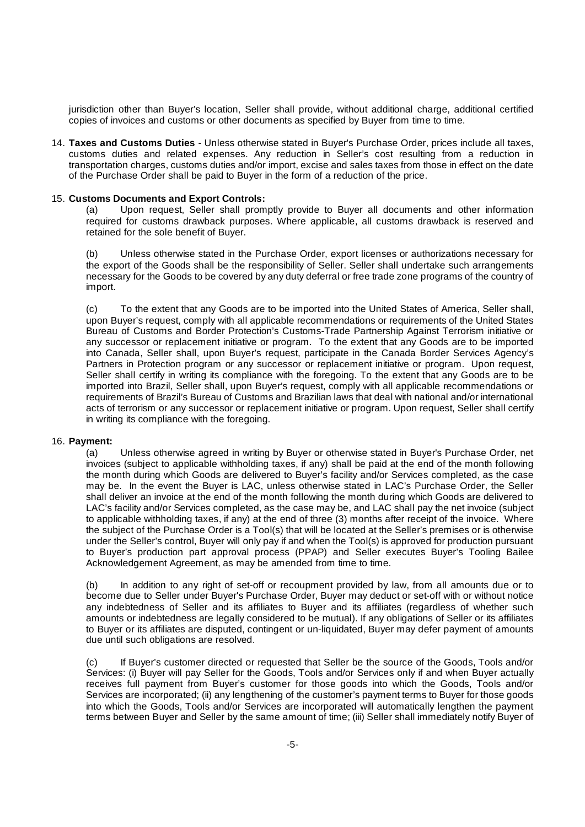jurisdiction other than Buyer's location, Seller shall provide, without additional charge, additional certified copies of invoices and customs or other documents as specified by Buyer from time to time.

14. **Taxes and Customs Duties** - Unless otherwise stated in Buyer's Purchase Order, prices include all taxes, customs duties and related expenses. Any reduction in Seller's cost resulting from a reduction in transportation charges, customs duties and/or import, excise and sales taxes from those in effect on the date of the Purchase Order shall be paid to Buyer in the form of a reduction of the price.

### 15. **Customs Documents and Export Controls:**

(a) Upon request, Seller shall promptly provide to Buyer all documents and other information required for customs drawback purposes. Where applicable, all customs drawback is reserved and retained for the sole benefit of Buyer.

(b) Unless otherwise stated in the Purchase Order, export licenses or authorizations necessary for the export of the Goods shall be the responsibility of Seller. Seller shall undertake such arrangements necessary for the Goods to be covered by any duty deferral or free trade zone programs of the country of import.

(c) To the extent that any Goods are to be imported into the United States of America, Seller shall, upon Buyer's request, comply with all applicable recommendations or requirements of the United States Bureau of Customs and Border Protection's Customs-Trade Partnership Against Terrorism initiative or any successor or replacement initiative or program. To the extent that any Goods are to be imported into Canada, Seller shall, upon Buyer's request, participate in the Canada Border Services Agency's Partners in Protection program or any successor or replacement initiative or program. Upon request, Seller shall certify in writing its compliance with the foregoing. To the extent that any Goods are to be imported into Brazil, Seller shall, upon Buyer's request, comply with all applicable recommendations or requirements of Brazil's Bureau of Customs and Brazilian laws that deal with national and/or international acts of terrorism or any successor or replacement initiative or program. Upon request, Seller shall certify in writing its compliance with the foregoing.

## 16. **Payment:**

(a) Unless otherwise agreed in writing by Buyer or otherwise stated in Buyer's Purchase Order, net invoices (subject to applicable withholding taxes, if any) shall be paid at the end of the month following the month during which Goods are delivered to Buyer's facility and/or Services completed, as the case may be. In the event the Buyer is LAC, unless otherwise stated in LAC's Purchase Order, the Seller shall deliver an invoice at the end of the month following the month during which Goods are delivered to LAC's facility and/or Services completed, as the case may be, and LAC shall pay the net invoice (subject to applicable withholding taxes, if any) at the end of three (3) months after receipt of the invoice. Where the subject of the Purchase Order is a Tool(s) that will be located at the Seller's premises or is otherwise under the Seller's control, Buyer will only pay if and when the Tool(s) is approved for production pursuant to Buyer's production part approval process (PPAP) and Seller executes Buyer's Tooling Bailee Acknowledgement Agreement, as may be amended from time to time.

(b) In addition to any right of set-off or recoupment provided by law, from all amounts due or to become due to Seller under Buyer's Purchase Order, Buyer may deduct or set-off with or without notice any indebtedness of Seller and its affiliates to Buyer and its affiliates (regardless of whether such amounts or indebtedness are legally considered to be mutual). If any obligations of Seller or its affiliates to Buyer or its affiliates are disputed, contingent or un-liquidated, Buyer may defer payment of amounts due until such obligations are resolved.

(c) If Buyer's customer directed or requested that Seller be the source of the Goods, Tools and/or Services: (i) Buyer will pay Seller for the Goods, Tools and/or Services only if and when Buyer actually receives full payment from Buyer's customer for those goods into which the Goods, Tools and/or Services are incorporated; (ii) any lengthening of the customer's payment terms to Buyer for those goods into which the Goods, Tools and/or Services are incorporated will automatically lengthen the payment terms between Buyer and Seller by the same amount of time; (iii) Seller shall immediately notify Buyer of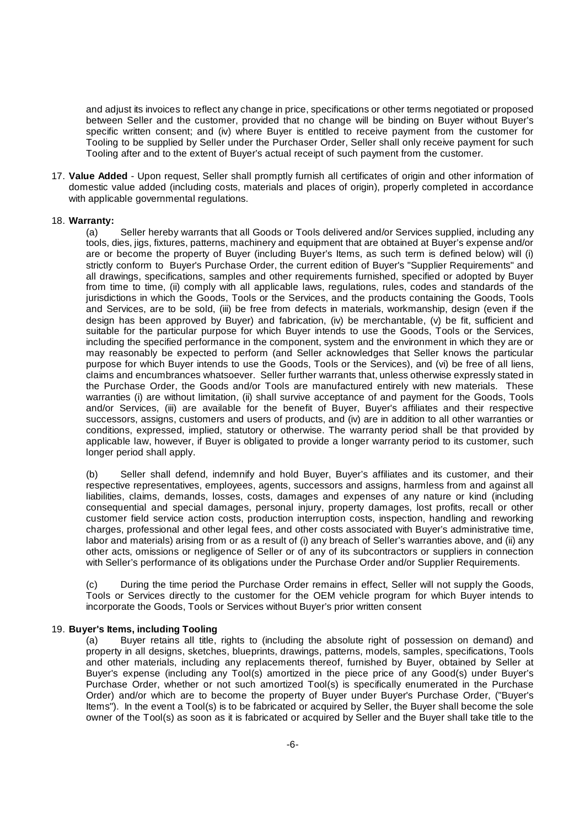and adjust its invoices to reflect any change in price, specifications or other terms negotiated or proposed between Seller and the customer, provided that no change will be binding on Buyer without Buyer's specific written consent; and (iv) where Buyer is entitled to receive payment from the customer for Tooling to be supplied by Seller under the Purchaser Order, Seller shall only receive payment for such Tooling after and to the extent of Buyer's actual receipt of such payment from the customer.

17. **Value Added** - Upon request, Seller shall promptly furnish all certificates of origin and other information of domestic value added (including costs, materials and places of origin), properly completed in accordance with applicable governmental regulations.

#### 18. **Warranty:**

(a) Seller hereby warrants that all Goods or Tools delivered and/or Services supplied, including any tools, dies, jigs, fixtures, patterns, machinery and equipment that are obtained at Buyer's expense and/or are or become the property of Buyer (including Buyer's Items, as such term is defined below) will (i) strictly conform to Buyer's Purchase Order, the current edition of Buyer's "Supplier Requirements" and all drawings, specifications, samples and other requirements furnished, specified or adopted by Buyer from time to time, (ii) comply with all applicable laws, regulations, rules, codes and standards of the jurisdictions in which the Goods, Tools or the Services, and the products containing the Goods, Tools and Services, are to be sold, (iii) be free from defects in materials, workmanship, design (even if the design has been approved by Buyer) and fabrication, (iv) be merchantable, (v) be fit, sufficient and suitable for the particular purpose for which Buyer intends to use the Goods, Tools or the Services, including the specified performance in the component, system and the environment in which they are or may reasonably be expected to perform (and Seller acknowledges that Seller knows the particular purpose for which Buyer intends to use the Goods, Tools or the Services), and (vi) be free of all liens, claims and encumbrances whatsoever. Seller further warrants that, unless otherwise expressly stated in the Purchase Order, the Goods and/or Tools are manufactured entirely with new materials. These warranties (i) are without limitation, (ii) shall survive acceptance of and payment for the Goods, Tools and/or Services, (iii) are available for the benefit of Buyer, Buyer's affiliates and their respective successors, assigns, customers and users of products, and (iv) are in addition to all other warranties or conditions, expressed, implied, statutory or otherwise. The warranty period shall be that provided by applicable law, however, if Buyer is obligated to provide a longer warranty period to its customer, such longer period shall apply.

(b) Seller shall defend, indemnify and hold Buyer, Buyer's affiliates and its customer, and their respective representatives, employees, agents, successors and assigns, harmless from and against all liabilities, claims, demands, losses, costs, damages and expenses of any nature or kind (including consequential and special damages, personal injury, property damages, lost profits, recall or other customer field service action costs, production interruption costs, inspection, handling and reworking charges, professional and other legal fees, and other costs associated with Buyer's administrative time, labor and materials) arising from or as a result of (i) any breach of Seller's warranties above, and (ii) any other acts, omissions or negligence of Seller or of any of its subcontractors or suppliers in connection with Seller's performance of its obligations under the Purchase Order and/or Supplier Requirements.

(c) During the time period the Purchase Order remains in effect, Seller will not supply the Goods, Tools or Services directly to the customer for the OEM vehicle program for which Buyer intends to incorporate the Goods, Tools or Services without Buyer's prior written consent

#### 19. **Buyer's Items, including Tooling**

(a) Buyer retains all title, rights to (including the absolute right of possession on demand) and property in all designs, sketches, blueprints, drawings, patterns, models, samples, specifications, Tools and other materials, including any replacements thereof, furnished by Buyer, obtained by Seller at Buyer's expense (including any Tool(s) amortized in the piece price of any Good(s) under Buyer's Purchase Order, whether or not such amortized Tool(s) is specifically enumerated in the Purchase Order) and/or which are to become the property of Buyer under Buyer's Purchase Order, ("Buyer's Items"). In the event a Tool(s) is to be fabricated or acquired by Seller, the Buyer shall become the sole owner of the Tool(s) as soon as it is fabricated or acquired by Seller and the Buyer shall take title to the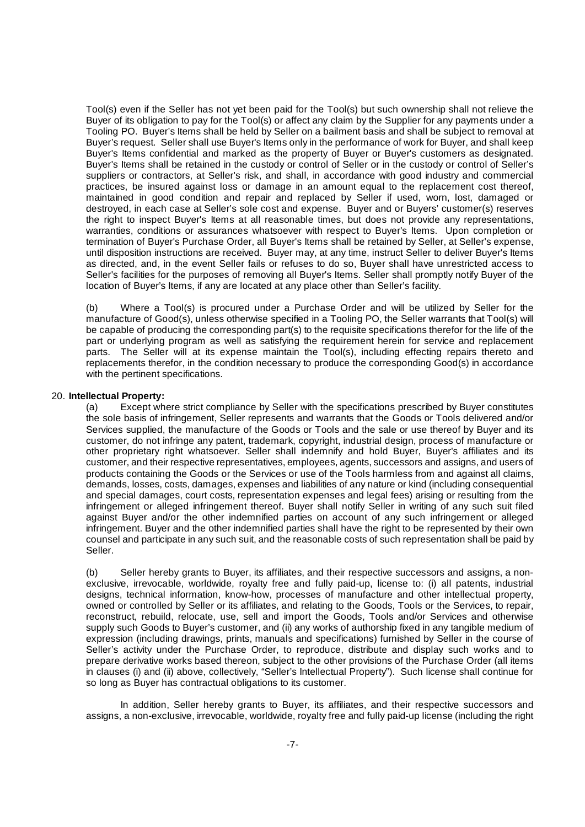Tool(s) even if the Seller has not yet been paid for the Tool(s) but such ownership shall not relieve the Buyer of its obligation to pay for the Tool(s) or affect any claim by the Supplier for any payments under a Tooling PO. Buyer's Items shall be held by Seller on a bailment basis and shall be subject to removal at Buyer's request. Seller shall use Buyer's Items only in the performance of work for Buyer, and shall keep Buyer's Items confidential and marked as the property of Buyer or Buyer's customers as designated. Buyer's Items shall be retained in the custody or control of Seller or in the custody or control of Seller's suppliers or contractors, at Seller's risk, and shall, in accordance with good industry and commercial practices, be insured against loss or damage in an amount equal to the replacement cost thereof, maintained in good condition and repair and replaced by Seller if used, worn, lost, damaged or destroyed, in each case at Seller's sole cost and expense. Buyer and or Buyers' customer(s) reserves the right to inspect Buyer's Items at all reasonable times, but does not provide any representations, warranties, conditions or assurances whatsoever with respect to Buyer's Items. Upon completion or termination of Buyer's Purchase Order, all Buyer's Items shall be retained by Seller, at Seller's expense, until disposition instructions are received. Buyer may, at any time, instruct Seller to deliver Buyer's Items as directed, and, in the event Seller fails or refuses to do so, Buyer shall have unrestricted access to Seller's facilities for the purposes of removing all Buyer's Items. Seller shall promptly notify Buyer of the location of Buyer's Items, if any are located at any place other than Seller's facility.

(b) Where a Tool(s) is procured under a Purchase Order and will be utilized by Seller for the manufacture of Good(s), unless otherwise specified in a Tooling PO, the Seller warrants that Tool(s) will be capable of producing the corresponding part(s) to the requisite specifications therefor for the life of the part or underlying program as well as satisfying the requirement herein for service and replacement parts. The Seller will at its expense maintain the Tool(s), including effecting repairs thereto and replacements therefor, in the condition necessary to produce the corresponding Good(s) in accordance with the pertinent specifications.

#### 20. **Intellectual Property:**

(a) Except where strict compliance by Seller with the specifications prescribed by Buyer constitutes the sole basis of infringement, Seller represents and warrants that the Goods or Tools delivered and/or Services supplied, the manufacture of the Goods or Tools and the sale or use thereof by Buyer and its customer, do not infringe any patent, trademark, copyright, industrial design, process of manufacture or other proprietary right whatsoever. Seller shall indemnify and hold Buyer, Buyer's affiliates and its customer, and their respective representatives, employees, agents, successors and assigns, and users of products containing the Goods or the Services or use of the Tools harmless from and against all claims, demands, losses, costs, damages, expenses and liabilities of any nature or kind (including consequential and special damages, court costs, representation expenses and legal fees) arising or resulting from the infringement or alleged infringement thereof. Buyer shall notify Seller in writing of any such suit filed against Buyer and/or the other indemnified parties on account of any such infringement or alleged infringement. Buyer and the other indemnified parties shall have the right to be represented by their own counsel and participate in any such suit, and the reasonable costs of such representation shall be paid by Seller.

(b) Seller hereby grants to Buyer, its affiliates, and their respective successors and assigns, a nonexclusive, irrevocable, worldwide, royalty free and fully paid-up, license to: (i) all patents, industrial designs, technical information, know-how, processes of manufacture and other intellectual property, owned or controlled by Seller or its affiliates, and relating to the Goods, Tools or the Services, to repair, reconstruct, rebuild, relocate, use, sell and import the Goods, Tools and/or Services and otherwise supply such Goods to Buyer's customer, and (ii) any works of authorship fixed in any tangible medium of expression (including drawings, prints, manuals and specifications) furnished by Seller in the course of Seller's activity under the Purchase Order, to reproduce, distribute and display such works and to prepare derivative works based thereon, subject to the other provisions of the Purchase Order (all items in clauses (i) and (ii) above, collectively, "Seller's Intellectual Property"). Such license shall continue for so long as Buyer has contractual obligations to its customer.

In addition, Seller hereby grants to Buyer, its affiliates, and their respective successors and assigns, a non-exclusive, irrevocable, worldwide, royalty free and fully paid-up license (including the right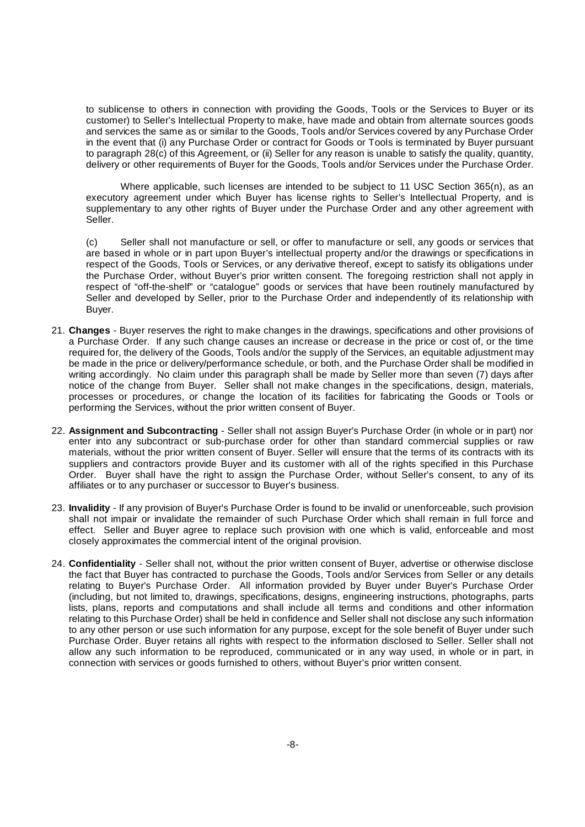to sublicense to others in connection with providing the Goods, Tools or the Services to Buyer or its customer) to Seller's Intellectual Property to make, have made and obtain from alternate sources goods and services the same as or similar to the Goods, Tools and/or Services covered by any Purchase Order in the event that (i) any Purchase Order or contract for Goods or Tools is terminated by Buyer pursuant to paragraph 28(c) of this Agreement, or (ii) Seller for any reason is unable to satisfy the quality, quantity, delivery or other requirements of Buyer for the Goods, Tools and/or Services under the Purchase Order.

Where applicable, such licenses are intended to be subject to 11 USC Section 365(n), as an executory agreement under which Buyer has license rights to Seller's Intellectual Property, and is supplementary to any other rights of Buyer under the Purchase Order and any other agreement with Seller.

(c) Seller shall not manufacture or sell, or offer to manufacture or sell, any goods or services that are based in whole or in part upon Buyer's intellectual property and/or the drawings or specifications in respect of the Goods, Tools or Services, or any derivative thereof, except to satisfy its obligations under the Purchase Order, without Buyer's prior written consent. The foregoing restriction shall not apply in respect of "off-the-shelf" or "catalogue" goods or services that have been routinely manufactured by Seller and developed by Seller, prior to the Purchase Order and independently of its relationship with Buyer.

- 21. **Changes** Buyer reserves the right to make changes in the drawings, specifications and other provisions of a Purchase Order. If any such change causes an increase or decrease in the price or cost of, or the time required for, the delivery of the Goods, Tools and/or the supply of the Services, an equitable adjustment may be made in the price or delivery/performance schedule, or both, and the Purchase Order shall be modified in writing accordingly. No claim under this paragraph shall be made by Seller more than seven (7) days after notice of the change from Buyer. Seller shall not make changes in the specifications, design, materials, processes or procedures, or change the location of its facilities for fabricating the Goods or Tools or performing the Services, without the prior written consent of Buyer.
- 22. **Assignment and Subcontracting** Seller shall not assign Buyer's Purchase Order (in whole or in part) nor enter into any subcontract or sub-purchase order for other than standard commercial supplies or raw materials, without the prior written consent of Buyer. Seller will ensure that the terms of its contracts with its suppliers and contractors provide Buyer and its customer with all of the rights specified in this Purchase Order. Buyer shall have the right to assign the Purchase Order, without Seller's consent, to any of its affiliates or to any purchaser or successor to Buyer's business.
- 23. **Invalidity** If any provision of Buyer's Purchase Order is found to be invalid or unenforceable, such provision shall not impair or invalidate the remainder of such Purchase Order which shall remain in full force and effect. Seller and Buyer agree to replace such provision with one which is valid, enforceable and most closely approximates the commercial intent of the original provision.
- 24. **Confidentiality** Seller shall not, without the prior written consent of Buyer, advertise or otherwise disclose the fact that Buyer has contracted to purchase the Goods, Tools and/or Services from Seller or any details relating to Buyer's Purchase Order. All information provided by Buyer under Buyer's Purchase Order (including, but not limited to, drawings, specifications, designs, engineering instructions, photographs, parts lists, plans, reports and computations and shall include all terms and conditions and other information relating to this Purchase Order) shall be held in confidence and Seller shall not disclose any such information to any other person or use such information for any purpose, except for the sole benefit of Buyer under such Purchase Order. Buyer retains all rights with respect to the information disclosed to Seller. Seller shall not allow any such information to be reproduced, communicated or in any way used, in whole or in part, in connection with services or goods furnished to others, without Buyer's prior written consent.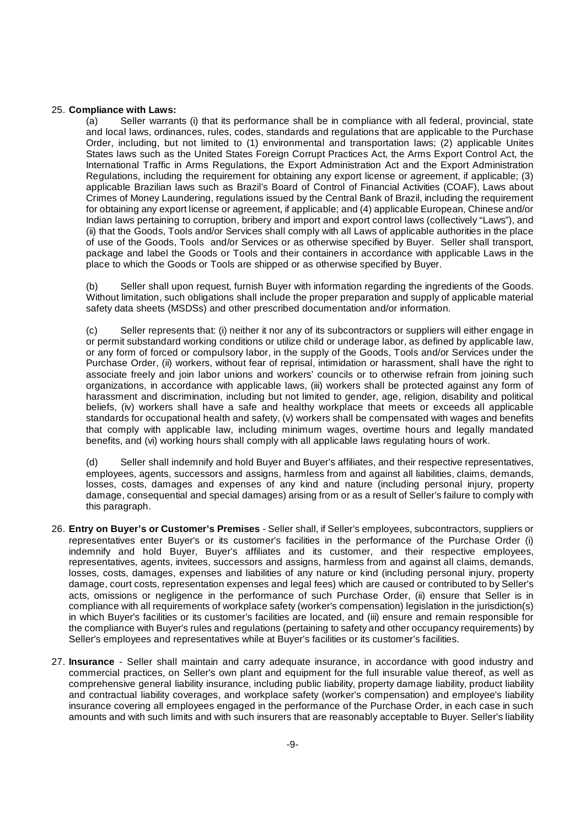#### 25. **Compliance with Laws:**

(a) Seller warrants (i) that its performance shall be in compliance with all federal, provincial, state and local laws, ordinances, rules, codes, standards and regulations that are applicable to the Purchase Order, including, but not limited to (1) environmental and transportation laws; (2) applicable Unites States laws such as the United States Foreign Corrupt Practices Act, the Arms Export Control Act, the International Traffic in Arms Regulations, the Export Administration Act and the Export Administration Regulations, including the requirement for obtaining any export license or agreement, if applicable; (3) applicable Brazilian laws such as Brazil's Board of Control of Financial Activities (COAF), Laws about Crimes of Money Laundering, regulations issued by the Central Bank of Brazil, including the requirement for obtaining any export license or agreement, if applicable; and (4) applicable European, Chinese and/or Indian laws pertaining to corruption, bribery and import and export control laws (collectively "Laws"), and (ii) that the Goods, Tools and/or Services shall comply with all Laws of applicable authorities in the place of use of the Goods, Tools and/or Services or as otherwise specified by Buyer. Seller shall transport, package and label the Goods or Tools and their containers in accordance with applicable Laws in the place to which the Goods or Tools are shipped or as otherwise specified by Buyer.

Seller shall upon request, furnish Buyer with information regarding the ingredients of the Goods. Without limitation, such obligations shall include the proper preparation and supply of applicable material safety data sheets (MSDSs) and other prescribed documentation and/or information.

(c) Seller represents that: (i) neither it nor any of its subcontractors or suppliers will either engage in or permit substandard working conditions or utilize child or underage labor, as defined by applicable law, or any form of forced or compulsory labor, in the supply of the Goods, Tools and/or Services under the Purchase Order, (ii) workers, without fear of reprisal, intimidation or harassment, shall have the right to associate freely and join labor unions and workers' councils or to otherwise refrain from joining such organizations, in accordance with applicable laws, (iii) workers shall be protected against any form of harassment and discrimination, including but not limited to gender, age, religion, disability and political beliefs, (iv) workers shall have a safe and healthy workplace that meets or exceeds all applicable standards for occupational health and safety, (v) workers shall be compensated with wages and benefits that comply with applicable law, including minimum wages, overtime hours and legally mandated benefits, and (vi) working hours shall comply with all applicable laws regulating hours of work.

(d) Seller shall indemnify and hold Buyer and Buyer's affiliates, and their respective representatives, employees, agents, successors and assigns, harmless from and against all liabilities, claims, demands, losses, costs, damages and expenses of any kind and nature (including personal injury, property damage, consequential and special damages) arising from or as a result of Seller's failure to comply with this paragraph.

- 26. **Entry on Buyer's or Customer's Premises** Seller shall, if Seller's employees, subcontractors, suppliers or representatives enter Buyer's or its customer's facilities in the performance of the Purchase Order (i) indemnify and hold Buyer, Buyer's affiliates and its customer, and their respective employees. representatives, agents, invitees, successors and assigns, harmless from and against all claims, demands, losses, costs, damages, expenses and liabilities of any nature or kind (including personal injury, property damage, court costs, representation expenses and legal fees) which are caused or contributed to by Seller's acts, omissions or negligence in the performance of such Purchase Order, (ii) ensure that Seller is in compliance with all requirements of workplace safety (worker's compensation) legislation in the jurisdiction(s) in which Buyer's facilities or its customer's facilities are located, and (iii) ensure and remain responsible for the compliance with Buyer's rules and regulations (pertaining to safety and other occupancy requirements) by Seller's employees and representatives while at Buyer's facilities or its customer's facilities.
- 27. **Insurance** Seller shall maintain and carry adequate insurance, in accordance with good industry and commercial practices, on Seller's own plant and equipment for the full insurable value thereof, as well as comprehensive general liability insurance, including public liability, property damage liability, product liability and contractual liability coverages, and workplace safety (worker's compensation) and employee's liability insurance covering all employees engaged in the performance of the Purchase Order, in each case in such amounts and with such limits and with such insurers that are reasonably acceptable to Buyer. Seller's liability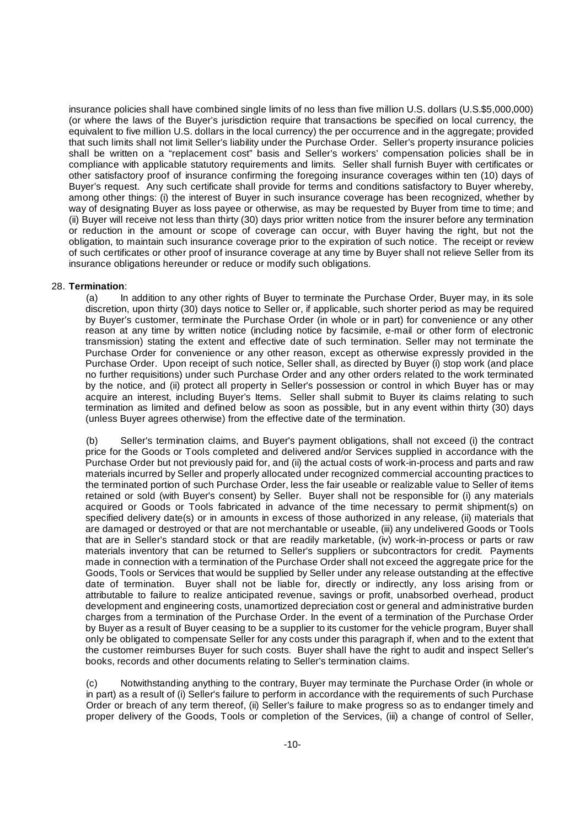insurance policies shall have combined single limits of no less than five million U.S. dollars (U.S.\$5,000,000) (or where the laws of the Buyer's jurisdiction require that transactions be specified on local currency, the equivalent to five million U.S. dollars in the local currency) the per occurrence and in the aggregate; provided that such limits shall not limit Seller's liability under the Purchase Order. Seller's property insurance policies shall be written on a "replacement cost" basis and Seller's workers' compensation policies shall be in compliance with applicable statutory requirements and limits. Seller shall furnish Buyer with certificates or other satisfactory proof of insurance confirming the foregoing insurance coverages within ten (10) days of Buyer's request. Any such certificate shall provide for terms and conditions satisfactory to Buyer whereby, among other things: (i) the interest of Buyer in such insurance coverage has been recognized, whether by way of designating Buyer as loss payee or otherwise, as may be requested by Buyer from time to time; and (ii) Buyer will receive not less than thirty (30) days prior written notice from the insurer before any termination or reduction in the amount or scope of coverage can occur, with Buyer having the right, but not the obligation, to maintain such insurance coverage prior to the expiration of such notice. The receipt or review of such certificates or other proof of insurance coverage at any time by Buyer shall not relieve Seller from its insurance obligations hereunder or reduce or modify such obligations.

# 28. **Termination**:

(a) In addition to any other rights of Buyer to terminate the Purchase Order, Buyer may, in its sole discretion, upon thirty (30) days notice to Seller or, if applicable, such shorter period as may be required by Buyer's customer, terminate the Purchase Order (in whole or in part) for convenience or any other reason at any time by written notice (including notice by facsimile, e-mail or other form of electronic transmission) stating the extent and effective date of such termination. Seller may not terminate the Purchase Order for convenience or any other reason, except as otherwise expressly provided in the Purchase Order. Upon receipt of such notice, Seller shall, as directed by Buyer (i) stop work (and place no further requisitions) under such Purchase Order and any other orders related to the work terminated by the notice, and (ii) protect all property in Seller's possession or control in which Buyer has or may acquire an interest, including Buyer's Items. Seller shall submit to Buyer its claims relating to such termination as limited and defined below as soon as possible, but in any event within thirty (30) days (unless Buyer agrees otherwise) from the effective date of the termination.

(b) Seller's termination claims, and Buyer's payment obligations, shall not exceed (i) the contract price for the Goods or Tools completed and delivered and/or Services supplied in accordance with the Purchase Order but not previously paid for, and (ii) the actual costs of work-in-process and parts and raw materials incurred by Seller and properly allocated under recognized commercial accounting practices to the terminated portion of such Purchase Order, less the fair useable or realizable value to Seller of items retained or sold (with Buyer's consent) by Seller. Buyer shall not be responsible for (i) any materials acquired or Goods or Tools fabricated in advance of the time necessary to permit shipment(s) on specified delivery date(s) or in amounts in excess of those authorized in any release, (ii) materials that are damaged or destroyed or that are not merchantable or useable, (iii) any undelivered Goods or Tools that are in Seller's standard stock or that are readily marketable, (iv) work-in-process or parts or raw materials inventory that can be returned to Seller's suppliers or subcontractors for credit. Payments made in connection with a termination of the Purchase Order shall not exceed the aggregate price for the Goods, Tools or Services that would be supplied by Seller under any release outstanding at the effective date of termination. Buyer shall not be liable for, directly or indirectly, any loss arising from or attributable to failure to realize anticipated revenue, savings or profit, unabsorbed overhead, product development and engineering costs, unamortized depreciation cost or general and administrative burden charges from a termination of the Purchase Order. In the event of a termination of the Purchase Order by Buyer as a result of Buyer ceasing to be a supplier to its customer for the vehicle program, Buyer shall only be obligated to compensate Seller for any costs under this paragraph if, when and to the extent that the customer reimburses Buyer for such costs. Buyer shall have the right to audit and inspect Seller's books, records and other documents relating to Seller's termination claims.

(c) Notwithstanding anything to the contrary, Buyer may terminate the Purchase Order (in whole or in part) as a result of (i) Seller's failure to perform in accordance with the requirements of such Purchase Order or breach of any term thereof, (ii) Seller's failure to make progress so as to endanger timely and proper delivery of the Goods, Tools or completion of the Services, (iii) a change of control of Seller,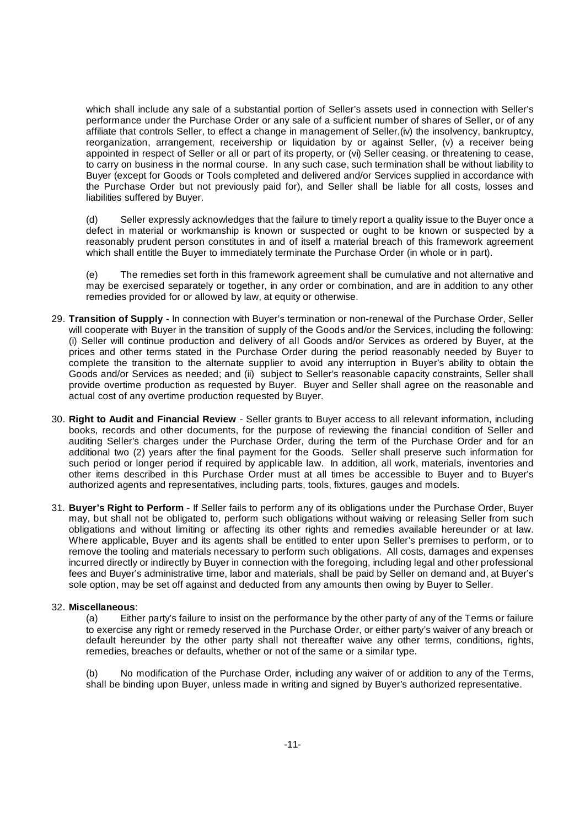which shall include any sale of a substantial portion of Seller's assets used in connection with Seller's performance under the Purchase Order or any sale of a sufficient number of shares of Seller, or of any affiliate that controls Seller, to effect a change in management of Seller,(iv) the insolvency, bankruptcy, reorganization, arrangement, receivership or liquidation by or against Seller, (v) a receiver being appointed in respect of Seller or all or part of its property, or (vi) Seller ceasing, or threatening to cease, to carry on business in the normal course. In any such case, such termination shall be without liability to Buyer (except for Goods or Tools completed and delivered and/or Services supplied in accordance with the Purchase Order but not previously paid for), and Seller shall be liable for all costs, losses and liabilities suffered by Buyer.

(d) Seller expressly acknowledges that the failure to timely report a quality issue to the Buyer once a defect in material or workmanship is known or suspected or ought to be known or suspected by a reasonably prudent person constitutes in and of itself a material breach of this framework agreement which shall entitle the Buyer to immediately terminate the Purchase Order (in whole or in part).

(e) The remedies set forth in this framework agreement shall be cumulative and not alternative and may be exercised separately or together, in any order or combination, and are in addition to any other remedies provided for or allowed by law, at equity or otherwise.

- 29. **Transition of Supply** In connection with Buyer's termination or non-renewal of the Purchase Order, Seller will cooperate with Buyer in the transition of supply of the Goods and/or the Services, including the following: (i) Seller will continue production and delivery of all Goods and/or Services as ordered by Buyer, at the prices and other terms stated in the Purchase Order during the period reasonably needed by Buyer to complete the transition to the alternate supplier to avoid any interruption in Buyer's ability to obtain the Goods and/or Services as needed; and (ii) subject to Seller's reasonable capacity constraints, Seller shall provide overtime production as requested by Buyer. Buyer and Seller shall agree on the reasonable and actual cost of any overtime production requested by Buyer.
- 30. **Right to Audit and Financial Review** Seller grants to Buyer access to all relevant information, including books, records and other documents, for the purpose of reviewing the financial condition of Seller and auditing Seller's charges under the Purchase Order, during the term of the Purchase Order and for an additional two (2) years after the final payment for the Goods. Seller shall preserve such information for such period or longer period if required by applicable law. In addition, all work, materials, inventories and other items described in this Purchase Order must at all times be accessible to Buyer and to Buyer's authorized agents and representatives, including parts, tools, fixtures, gauges and models.
- 31. **Buyer's Right to Perform** If Seller fails to perform any of its obligations under the Purchase Order, Buyer may, but shall not be obligated to, perform such obligations without waiving or releasing Seller from such obligations and without limiting or affecting its other rights and remedies available hereunder or at law. Where applicable, Buyer and its agents shall be entitled to enter upon Seller's premises to perform, or to remove the tooling and materials necessary to perform such obligations. All costs, damages and expenses incurred directly or indirectly by Buyer in connection with the foregoing, including legal and other professional fees and Buyer's administrative time, labor and materials, shall be paid by Seller on demand and, at Buyer's sole option, may be set off against and deducted from any amounts then owing by Buyer to Seller.

# 32. **Miscellaneous**:

(a) Either party's failure to insist on the performance by the other party of any of the Terms or failure to exercise any right or remedy reserved in the Purchase Order, or either party's waiver of any breach or default hereunder by the other party shall not thereafter waive any other terms, conditions, rights, remedies, breaches or defaults, whether or not of the same or a similar type.

(b) No modification of the Purchase Order, including any waiver of or addition to any of the Terms, shall be binding upon Buyer, unless made in writing and signed by Buyer's authorized representative.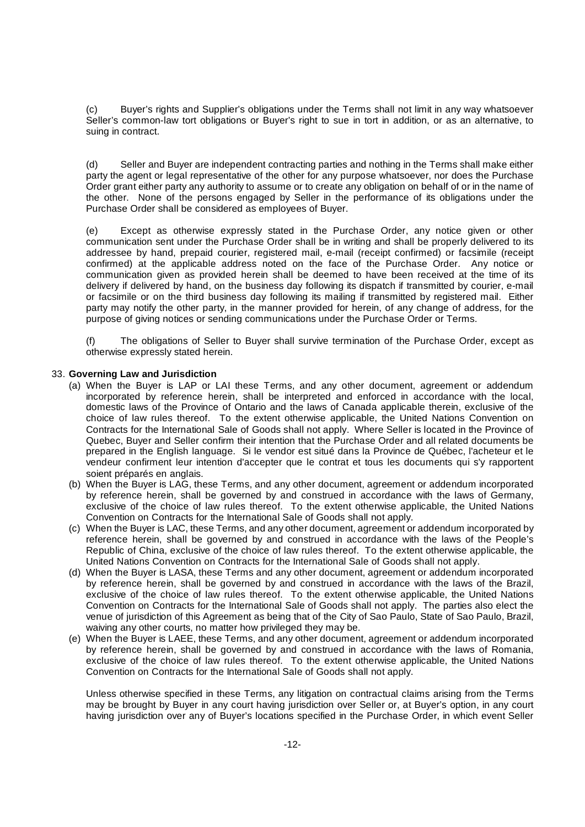(c) Buyer's rights and Supplier's obligations under the Terms shall not limit in any way whatsoever Seller's common-law tort obligations or Buyer's right to sue in tort in addition, or as an alternative, to suing in contract.

(d) Seller and Buyer are independent contracting parties and nothing in the Terms shall make either party the agent or legal representative of the other for any purpose whatsoever, nor does the Purchase Order grant either party any authority to assume or to create any obligation on behalf of or in the name of the other. None of the persons engaged by Seller in the performance of its obligations under the Purchase Order shall be considered as employees of Buyer.

(e) Except as otherwise expressly stated in the Purchase Order, any notice given or other communication sent under the Purchase Order shall be in writing and shall be properly delivered to its addressee by hand, prepaid courier, registered mail, e-mail (receipt confirmed) or facsimile (receipt confirmed) at the applicable address noted on the face of the Purchase Order. Any notice or communication given as provided herein shall be deemed to have been received at the time of its delivery if delivered by hand, on the business day following its dispatch if transmitted by courier, e-mail or facsimile or on the third business day following its mailing if transmitted by registered mail. Either party may notify the other party, in the manner provided for herein, of any change of address, for the purpose of giving notices or sending communications under the Purchase Order or Terms.

(f) The obligations of Seller to Buyer shall survive termination of the Purchase Order, except as otherwise expressly stated herein.

# 33. **Governing Law and Jurisdiction**

- (a) When the Buyer is LAP or LAI these Terms, and any other document, agreement or addendum incorporated by reference herein, shall be interpreted and enforced in accordance with the local, domestic laws of the Province of Ontario and the laws of Canada applicable therein, exclusive of the choice of law rules thereof. To the extent otherwise applicable, the United Nations Convention on Contracts for the International Sale of Goods shall not apply. Where Seller is located in the Province of Quebec, Buyer and Seller confirm their intention that the Purchase Order and all related documents be prepared in the English language. Si le vendor est situé dans la Province de Québec, l'acheteur et le vendeur confirment leur intention d'accepter que le contrat et tous les documents qui s'y rapportent soient préparés en anglais.
- (b) When the Buyer is LAG, these Terms, and any other document, agreement or addendum incorporated by reference herein, shall be governed by and construed in accordance with the laws of Germany, exclusive of the choice of law rules thereof. To the extent otherwise applicable, the United Nations Convention on Contracts for the International Sale of Goods shall not apply.
- (c) When the Buyer is LAC, these Terms, and any other document, agreement or addendum incorporated by reference herein, shall be governed by and construed in accordance with the laws of the People's Republic of China, exclusive of the choice of law rules thereof. To the extent otherwise applicable, the United Nations Convention on Contracts for the International Sale of Goods shall not apply.
- (d) When the Buyer is LASA, these Terms and any other document, agreement or addendum incorporated by reference herein, shall be governed by and construed in accordance with the laws of the Brazil, exclusive of the choice of law rules thereof. To the extent otherwise applicable, the United Nations Convention on Contracts for the International Sale of Goods shall not apply. The parties also elect the venue of jurisdiction of this Agreement as being that of the City of Sao Paulo, State of Sao Paulo, Brazil, waiving any other courts, no matter how privileged they may be.
- (e) When the Buyer is LAEE, these Terms, and any other document, agreement or addendum incorporated by reference herein, shall be governed by and construed in accordance with the laws of Romania, exclusive of the choice of law rules thereof. To the extent otherwise applicable, the United Nations Convention on Contracts for the International Sale of Goods shall not apply.

Unless otherwise specified in these Terms, any litigation on contractual claims arising from the Terms may be brought by Buyer in any court having jurisdiction over Seller or, at Buyer's option, in any court having jurisdiction over any of Buyer's locations specified in the Purchase Order, in which event Seller